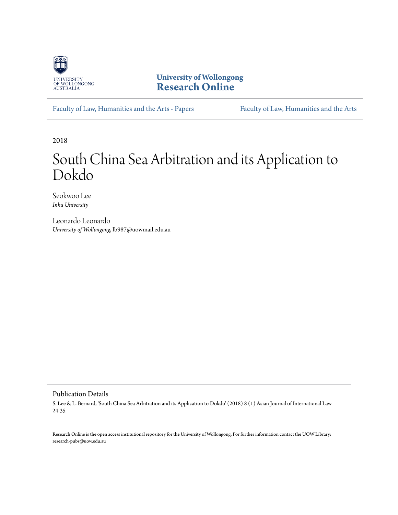

**University of Wollongong [Research Online](https://ro.uow.edu.au)**

[Faculty of Law, Humanities and the Arts - Papers](https://ro.uow.edu.au/lhapapers) [Faculty of Law, Humanities and the Arts](https://ro.uow.edu.au/lha)

2018

# South China Sea Arbitration and its Application to Dokdo

Seokwoo Lee *Inha University*

Leonardo Leonardo *University of Wollongong*, lb987@uowmail.edu.au

#### Publication Details

S. Lee & L. Bernard, 'South China Sea Arbitration and its Application to Dokdo' (2018) 8 (1) Asian Journal of International Law 24-35.

Research Online is the open access institutional repository for the University of Wollongong. For further information contact the UOW Library: research-pubs@uow.edu.au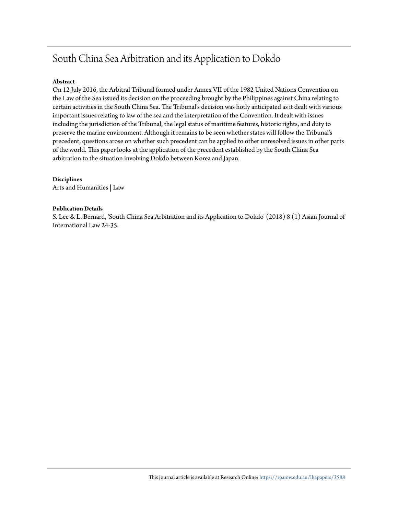# South China Sea Arbitration and its Application to Dokdo

#### **Abstract**

On 12 July 2016, the Arbitral Tribunal formed under Annex VII of the 1982 United Nations Convention on the Law of the Sea issued its decision on the proceeding brought by the Philippines against China relating to certain activities in the South China Sea. The Tribunal's decision was hotly anticipated as it dealt with various important issues relating to law of the sea and the interpretation of the Convention. It dealt with issues including the jurisdiction of the Tribunal, the legal status of maritime features, historic rights, and duty to preserve the marine environment. Although it remains to be seen whether states will follow the Tribunal's precedent, questions arose on whether such precedent can be applied to other unresolved issues in other parts of the world. This paper looks at the application of the precedent established by the South China Sea arbitration to the situation involving Dokdo between Korea and Japan.

**Disciplines**

Arts and Humanities | Law

#### **Publication Details**

S. Lee & L. Bernard, 'South China Sea Arbitration and its Application to Dokdo' (2018) 8 (1) Asian Journal of International Law 24-35.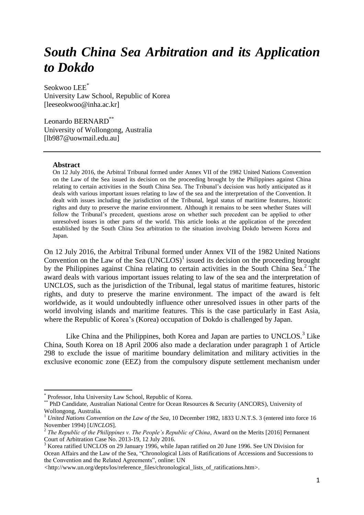# *South China Sea Arbitration and its Application to Dokdo*

Seokwoo LEE\* University Law School, Republic of Korea [leeseokwoo@inha.ac.kr]

Leonardo BERNARD\*\* University of Wollongong, Australia [lb987@uowmail.edu.au]

#### **Abstract**

 $\overline{a}$ 

On 12 July 2016, the Arbitral Tribunal formed under Annex VII of the 1982 United Nations Convention on the Law of the Sea issued its decision on the proceeding brought by the Philippines against China relating to certain activities in the South China Sea. The Tribunal's decision was hotly anticipated as it deals with various important issues relating to law of the sea and the interpretation of the Convention. It dealt with issues including the jurisdiction of the Tribunal, legal status of maritime features, historic rights and duty to preserve the marine environment. Although it remains to be seen whether States will follow the Tribunal's precedent, questions arose on whether such precedent can be applied to other unresolved issues in other parts of the world. This article looks at the application of the precedent established by the South China Sea arbitration to the situation involving Dokdo between Korea and Japan.

<span id="page-2-1"></span><span id="page-2-0"></span>On 12 July 2016, the Arbitral Tribunal formed under Annex VII of the 1982 United Nations Convention on the Law of the Sea  $(UNCLOS)^1$  issued its decision on the proceeding brought by the Philippines against China relating to certain activities in the South China Sea.<sup>2</sup> The award deals with various important issues relating to law of the sea and the interpretation of UNCLOS, such as the jurisdiction of the Tribunal, legal status of maritime features, historic rights, and duty to preserve the marine environment. The impact of the award is felt worldwide, as it would undoubtedly influence other unresolved issues in other parts of the world involving islands and maritime features. This is the case particularly in East Asia, where the Republic of Korea's (Korea) occupation of Dokdo is challenged by Japan.

Like China and the Philippines, both Korea and Japan are parties to UNCLOS. $3$  Like China, South Korea on 18 April 2006 also made a declaration under paragraph 1 of Article 298 to exclude the issue of maritime boundary delimitation and military activities in the exclusive economic zone (EEZ) from the compulsory dispute settlement mechanism under

<sup>\*</sup> Professor, Inha University Law School, Republic of Korea.

<sup>\*\*</sup> PhD Candidate, Australian National Centre for Ocean Resources & Security (ANCORS), University of Wollongong, Australia.

<sup>&</sup>lt;sup>1</sup> *United Nations Convention on the Law of the Sea, 10 December 1982, 1833 U.N.T.S. 3 (entered into force 16* November 1994) [*UNCLOS*].

<sup>&</sup>lt;sup>2</sup> The Republic of the Philippines v. The People's Republic of China, Award on the Merits [2016] Permanent Court of Arbitration Case No. 2013-19, 12 July 2016.

<sup>3</sup> Korea ratified UNCLOS on 29 January 1996, while Japan ratified on 20 June 1996. See UN Division for Ocean Affairs and the Law of the Sea, "Chronological Lists of Ratifications of Accessions and Successions to the Convention and the Related Agreements", online: UN

*<sup>&</sup>lt;*http://www.un.org/depts/los/reference\_files/chronological\_lists\_of\_ratifications.htm>.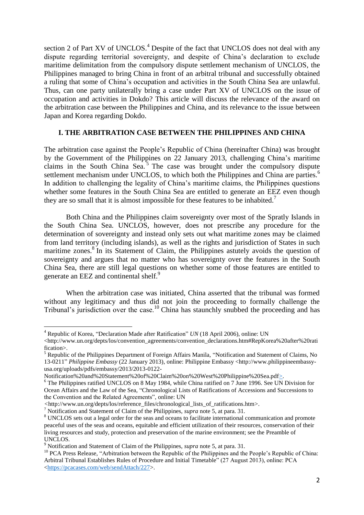section 2 of Part XV of UNCLOS.<sup>4</sup> Despite of the fact that UNCLOS does not deal with any dispute regarding territorial sovereignty, and despite of China's declaration to exclude maritime delimitation from the compulsory dispute settlement mechanism of UNCLOS, the Philippines managed to bring China in front of an arbitral tribunal and successfully obtained a ruling that some of China's occupation and activities in the South China Sea are unlawful. Thus, can one party unilaterally bring a case under Part XV of UNCLOS on the issue of occupation and activities in Dokdo? This article will discuss the relevance of the award on the arbitration case between the Philippines and China, and its relevance to the issue between Japan and Korea regarding Dokdo.

## <span id="page-3-0"></span>**I. THE ARBITRATION CASE BETWEEN THE PHILIPPINES AND CHINA**

The arbitration case against the People's Republic of China (hereinafter China) was brought by the Government of the Philippines on 22 January 2013, challenging China's maritime claims in the South China Sea.<sup>5</sup> The case was brought under the compulsory dispute settlement mechanism under UNCLOS, to which both the Philippines and China are parties.<sup>6</sup> In addition to challenging the legality of China's maritime claims, the Philippines questions whether some features in the South China Sea are entitled to generate an EEZ even though they are so small that it is almost impossible for these features to be inhabited.<sup>7</sup>

Both China and the Philippines claim sovereignty over most of the Spratly Islands in the South China Sea. UNCLOS, however, does not prescribe any procedure for the determination of sovereignty and instead only sets out what maritime zones may be claimed from land territory (including islands), as well as the rights and jurisdiction of States in such maritime zones.<sup>8</sup> In its Statement of Claim, the Philippines astutely avoids the question of sovereignty and argues that no matter who has sovereignty over the features in the South China Sea, there are still legal questions on whether some of those features are entitled to generate an EEZ and continental shelf.<sup>9</sup>

When the arbitration case was initiated, China asserted that the tribunal was formed without any legitimacy and thus did not join the proceeding to formally challenge the Tribunal's jurisdiction over the case.<sup>10</sup> China has staunchly snubbed the proceeding and has

<span id="page-3-1"></span> $\overline{a}$ 

<sup>4</sup> Republic of Korea, "Declaration Made after Ratification" *UN* (18 April 2006), online: UN

<sup>&</sup>lt;http://www.un.org/depts/los/convention\_agreements/convention\_declarations.htm#RepKorea%20after%20rati fication>.

<sup>5</sup> Republic of the Philippines Department of Foreign Affairs Manila, "Notification and Statement of Claims, No 13-0211" *Philippine Embassy* (22 January 2013), online: Philippine Embassy <http://www.philippineembassyusa.org/uploads/pdfs/embassy/2013/2013-0122-

Notification%20and%20Statement%20of%20Claim%20on%20West%20Philippine%20Sea.pdf>.

<sup>&</sup>lt;sup>6</sup> The Philippines ratified UNCLOS on 8 May 1984, while China ratified on 7 June 1996. See UN Division for Ocean Affairs and the Law of the Sea, "Chronological Lists of Ratifications of Accessions and Successions to the Convention and the Related Agreements", online: UN

*<sup>&</sup>lt;*http://www.un.org/depts/los/reference\_files/chronological\_lists\_of\_ratifications.htm>.

<sup>7</sup> Notification and Statement of Claim of the Philippines, *supra* note [5,](#page-3-0) at para. 31.

<sup>&</sup>lt;sup>8</sup> UNCLOS sets out a legal order for the seas and oceans to facilitate international communication and promote peaceful uses of the seas and oceans, equitable and efficient utilization of their resources, conservation of their living resources and study, protection and preservation of the marine environment; see the Preamble of UNCLOS*.*

<sup>9</sup> Notification and Statement of Claim of the Philippines, *supra* note [5,](#page-3-0) at para. 31.

<sup>&</sup>lt;sup>10</sup> PCA Press Release, "Arbitration between the Republic of the Philippines and the People's Republic of China: Arbitral Tribunal Establishes Rules of Procedure and Initial Timetable" (27 August 2013), online: PCA [<https://pcacases.com/web/sendAttach/227>](https://pcacases.com/web/sendAttach/227).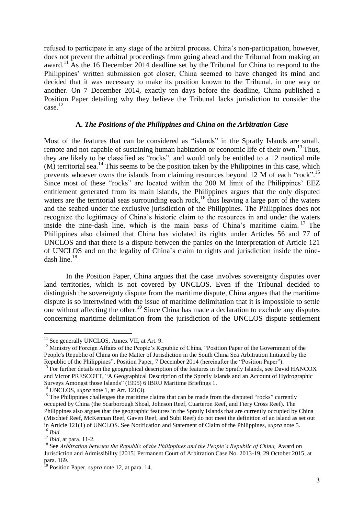refused to participate in any stage of the arbitral process. China's non-participation, however, does not prevent the arbitral proceedings from going ahead and the Tribunal from making an award.<sup>11</sup> As the 16 December 2014 deadline set by the Tribunal for China to respond to the Philippines' written submission got closer, China seemed to have changed its mind and decided that it was necessary to make its position known to the Tribunal, in one way or another. On 7 December 2014, exactly ten days before the deadline, China published a Position Paper detailing why they believe the Tribunal lacks jurisdiction to consider the case.<sup>12</sup>

## <span id="page-4-0"></span>**A.** *The Positions of the Philippines and China on the Arbitration Case*

Most of the features that can be considered as "islands" in the Spratly Islands are small, remote and not capable of sustaining human habitation or economic life of their own.<sup>13</sup> Thus, they are likely to be classified as "rocks", and would only be entitled to a 12 nautical mile  $(M)$  territorial sea.<sup>14</sup> This seems to be the position taken by the Philippines in this case, which prevents whoever owns the islands from claiming resources beyond 12 M of each "rock".<sup>15</sup> Since most of these "rocks" are located within the 200 M limit of the Philippines' EEZ entitlement generated from its main islands, the Philippines argues that the only disputed waters are the territorial seas surrounding each rock,<sup>16</sup> thus leaving a large part of the waters and the seabed under the exclusive jurisdiction of the Philippines. The Philippines does not recognize the legitimacy of China's historic claim to the resources in and under the waters inside the nine-dash line, which is the main basis of China's maritime claim.<sup>17</sup> The Philippines also claimed that China has violated its rights under Articles 56 and 77 of UNCLOS and that there is a dispute between the parties on the interpretation of Article 121 of UNCLOS and on the legality of China's claim to rights and jurisdiction inside the ninedash line. $18$ 

<span id="page-4-1"></span>In the Position Paper, China argues that the case involves sovereignty disputes over land territories, which is not covered by UNCLOS. Even if the Tribunal decided to distinguish the sovereignty dispute from the maritime dispute, China argues that the maritime dispute is so intertwined with the issue of maritime delimitation that it is impossible to settle one without affecting the other.<sup>19</sup> Since China has made a declaration to exclude any disputes concerning maritime delimitation from the jurisdiction of the UNCLOS dispute settlement

 $11$  See generally UNCLOS, Annex VII, at Art. 9.

<sup>&</sup>lt;sup>12</sup> Ministry of Foreign Affairs of the People's Republic of China, "Position Paper of the Government of the People's Republic of China on the Matter of Jurisdiction in the South China Sea Arbitration Initiated by the Republic of the Philippines", Position Paper, 7 December 2014 (hereinafter the "Position Paper").

<sup>&</sup>lt;sup>13</sup> For further details on the geographical description of the features in the Spratly Islands, see David HANCOX and Victor PRESCOTT, "A Geographical Description of the Spratly Islands and an Account of Hydrographic Surveys Amongst those Islands" (1995) 6 IBRU Maritime Briefings 1.

<sup>14</sup> UNCLOS, *supra* note [1,](#page-2-0) at Art. 121(3).

<sup>&</sup>lt;sup>15</sup> The Philippines challenges the maritime claims that can be made from the disputed "rocks" currently occupied by China (the Scarborough Shoal, Johnson Reef, Cuarteron Reef, and Fiery Cross Reef). The Philippines also argues that the geographic features in the Spratly Islands that are currently occupied by China (Mischief Reef, McKennan Reef, Gaven Reef, and Subi Reef) do not meet the definition of an island as set out in Article 121(1) of UNCLOS. See Notification and Statement of Claim of the Philippines, *supra* note [5.](#page-3-0) <sup>16</sup> *Ibid.*

<sup>17</sup> *Ibid,* at para. 11-2*.*

<sup>&</sup>lt;sup>18</sup> See *Arbitration between the Republic of the Philippines and the People's Republic of China, Award on* Jurisdiction and Admissibility [2015] Permanent Court of Arbitration Case No. 2013-19, 29 October 2015, at para. 169.

<sup>19</sup> Position Paper, *supra* note [12,](#page-4-0) at para. 14.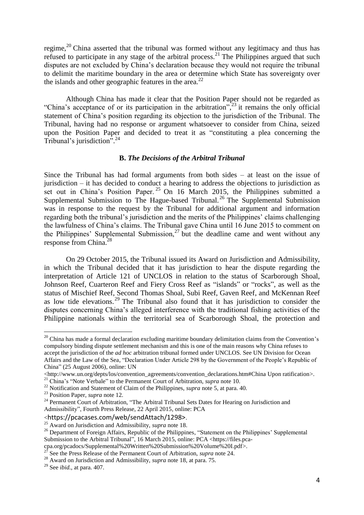regime,<sup>20</sup> China asserted that the tribunal was formed without any legitimacy and thus has refused to participate in any stage of the arbitral process.<sup>21</sup> The Philippines argued that such disputes are not excluded by China's declaration because they would not require the tribunal to delimit the maritime boundary in the area or determine which State has sovereignty over the islands and other geographic features in the area.<sup>22</sup>

Although China has made it clear that the Position Paper should not be regarded as "China's acceptance of or its participation in the arbitration", $^{23}$  it remains the only official statement of China's position regarding its objection to the jurisdiction of the Tribunal. The Tribunal, having had no response or argument whatsoever to consider from China, seized upon the Position Paper and decided to treat it as "constituting a plea concerning the Tribunal's jurisdiction".<sup>24</sup>

### <span id="page-5-0"></span>**B.** *The Decisions of the Arbitral Tribunal*

Since the Tribunal has had formal arguments from both sides – at least on the issue of jurisdiction – it has decided to conduct a hearing to address the objections to jurisdiction as set out in China's Position Paper.  $25$  On 16 March 2015, the Philippines submitted a Supplemental Submission to The Hague-based Tribunal.<sup>26</sup> The Supplemental Submission was in response to the request by the Tribunal for additional argument and information regarding both the tribunal's jurisdiction and the merits of the Philippines' claims challenging the lawfulness of China's claims. The Tribunal gave China until 16 June 2015 to comment on the Philippines' Supplemental Submission,  $27$  but the deadline came and went without any response from China.<sup>28</sup>

On 29 October 2015, the Tribunal issued its Award on Jurisdiction and Admissibility, in which the Tribunal decided that it has jurisdiction to hear the dispute regarding the interpretation of Article 121 of UNCLOS in relation to the status of Scarborough Shoal, Johnson Reef, Cuarteron Reef and Fiery Cross Reef as "islands" or "rocks", as well as the status of Mischief Reef, Second Thomas Shoal, Subi Reef, Gaven Reef, and McKennan Reef as low tide elevations.<sup>29</sup> The Tribunal also found that it has jurisdiction to consider the disputes concerning China's alleged interference with the traditional fishing activities of the Philippine nationals within the territorial sea of Scarborough Shoal, the protection and

 $20$  China has made a formal declaration excluding maritime boundary delimitation claims from the Convention's compulsory binding dispute settlement mechanism and this is one of the main reasons why China refuses to accept the jurisdiction of the *ad hoc* arbitration tribunal formed under UNCLOS. See UN Division for Ocean Affairs and the Law of the Sea, "Declaration Under Article 298 by the Government of the People's Republic of China" (25 August 2006), online: UN

<sup>&</sup>lt;http://www.un.org/depts/los/convention\_agreements/convention\_declarations.htm#China Upon ratification>. <sup>21</sup> China's "Note Verbale" to the Permanent Court of Arbitration, *supra* note [10.](#page-3-1)

<sup>22</sup> Notification and Statement of Claim of the Philippines, *supra* not[e 5,](#page-3-0) at para. 40.

<sup>23</sup> Position Paper, *supra* note [12.](#page-4-0)

<sup>&</sup>lt;sup>24</sup> Permanent Court of Arbitration, "The Arbitral Tribunal Sets Dates for Hearing on Jurisdiction and Admissibility", Fourth Press Release, 22 April 2015, online: PCA

<sup>&</sup>lt;https://pcacases.com/web/sendAttach/1298>.

<sup>25</sup> Award on Jurisdiction and Admissibility, *supra* note [18.](#page-4-1)

<sup>&</sup>lt;sup>26</sup> Department of Foreign Affairs, Republic of the Philippines, "Statement on the Philippines' Supplemental Submission to the Arbitral Tribunal", 16 March 2015, online: PCA <https://files.pca-

cpa.org/pcadocs/Supplemental%20Written%20Submission%20Volume%20I.pdf>.

<sup>27</sup> See the Press Release of the Permanent Court of Arbitration, *supra* note [24.](#page-5-0)

<sup>&</sup>lt;sup>28</sup> Award on Jurisdiction and Admissibility, *supra* note [18,](#page-4-1) at para. 75.

<sup>29</sup> See *ibid.*, at para. 407.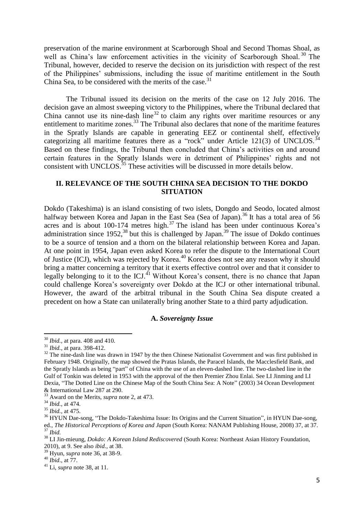preservation of the marine environment at Scarborough Shoal and Second Thomas Shoal, as well as China's law enforcement activities in the vicinity of Scarborough Shoal.<sup>30</sup> The Tribunal, however, decided to reserve the decision on its jurisdiction with respect of the rest of the Philippines' submissions, including the issue of maritime entitlement in the South China Sea, to be considered with the merits of the case.<sup>31</sup>

The Tribunal issued its decision on the merits of the case on 12 July 2016. The decision gave an almost sweeping victory to the Philippines, where the Tribunal declared that China cannot use its nine-dash line<sup>32</sup> to claim any rights over maritime resources or any entitlement to maritime zones.<sup>33</sup> The Tribunal also declares that none of the maritime features in the Spratly Islands are capable in generating EEZ or continental shelf, effectively categorizing all maritime features there as a "rock" under Article 121(3) of UNCLOS.<sup>34</sup> Based on these findings, the Tribunal then concluded that China's activities on and around certain features in the Spratly Islands were in detriment of Philippines' rights and not consistent with UNCLOS.<sup>35</sup> These activities will be discussed in more details below.

# **II. RELEVANCE OF THE SOUTH CHINA SEA DECISION TO THE DOKDO SITUATION**

<span id="page-6-1"></span>Dokdo (Takeshima) is an island consisting of two islets, Dongdo and Seodo, located almost halfway between Korea and Japan in the East Sea (Sea of Japan).<sup>36</sup> It has a total area of 56 acres and is about  $100-174$  metres high.<sup>37</sup> The island has been under continuous Korea's administration since  $1952<sup>38</sup>$  but this is challenged by Japan.<sup>39</sup> The issue of Dokdo continues to be a source of tension and a thorn on the bilateral relationship between Korea and Japan. At one point in 1954, Japan even asked Korea to refer the dispute to the International Court of Justice (ICJ), which was rejected by Korea.<sup>40</sup> Korea does not see any reason why it should bring a matter concerning a territory that it exerts effective control over and that it consider to legally belonging to it to the ICJ.<sup>41</sup> Without Korea's consent, there is no chance that Japan could challenge Korea's sovereignty over Dokdo at the ICJ or other international tribunal. However, the award of the arbitral tribunal in the South China Sea dispute created a precedent on how a State can unilaterally bring another State to a third party adjudication.

#### <span id="page-6-0"></span>**A.** *Sovereignty Issue*

<sup>30</sup> *Ibid.,* at para. 408 and 410.

<sup>31</sup> *Ibid.*, at para. 398-412.

<sup>&</sup>lt;sup>32</sup> The nine-dash line was drawn in 1947 by the then Chinese Nationalist Government and was first published in February 1948. Originally, the map showed the Pratas Islands, the Paracel Islands, the Macclesfield Bank, and the Spratly Islands as being "part" of China with the use of an eleven-dashed line. The two-dashed line in the Gulf of Tonkin was deleted in 1953 with the approval of the then Premier Zhou Enlai. See LI Jinming and LI Dexia, "The Dotted Line on the Chinese Map of the South China Sea: A Note" (2003) 34 Ocean Development & International Law 287 at 290.

<sup>33</sup> Award on the Merits, *supra* note [2,](#page-2-1) at 473.

<sup>34</sup> *Ibid.*, at 474.

<sup>35</sup> *Ibid.*, at 475.

<sup>&</sup>lt;sup>36</sup> HYUN Dae-song, "The Dokdo-Takeshima Issue: Its Origins and the Current Situation", in HYUN Dae-song, ed., *The Historical Perceptions of Korea and Japan* (South Korea: NANAM Publishing House, 2008) 37, at 37. <sup>37</sup> *Ibid.*

<sup>38</sup> LI Jin-mieung, *Dokdo: A Korean Island Rediscovered* (South Korea: Northeast Asian History Foundation, 2010), at 9. See also *ibid.*, at 38.

<sup>39</sup> Hyun, *supra* note [36,](#page-6-0) at 38-9.

<sup>40</sup> *Ibid*., at 77.

<sup>41</sup> Li, *supra* note [38,](#page-6-1) at 11.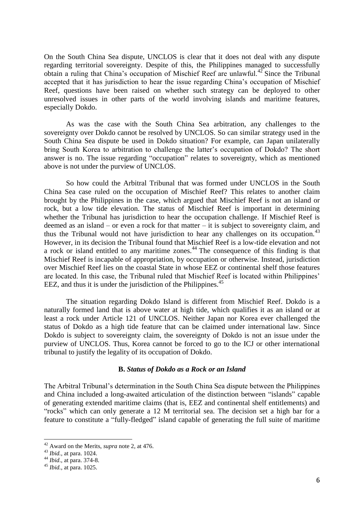On the South China Sea dispute, UNCLOS is clear that it does not deal with any dispute regarding territorial sovereignty. Despite of this, the Philippines managed to successfully obtain a ruling that China's occupation of Mischief Reef are unlawful.<sup>42</sup> Since the Tribunal accepted that it has jurisdiction to hear the issue regarding China's occupation of Mischief Reef, questions have been raised on whether such strategy can be deployed to other unresolved issues in other parts of the world involving islands and maritime features, especially Dokdo.

As was the case with the South China Sea arbitration, any challenges to the sovereignty over Dokdo cannot be resolved by UNCLOS. So can similar strategy used in the South China Sea dispute be used in Dokdo situation? For example, can Japan unilaterally bring South Korea to arbitration to challenge the latter's occupation of Dokdo? The short answer is no. The issue regarding "occupation" relates to sovereignty, which as mentioned above is not under the purview of UNCLOS.

So how could the Arbitral Tribunal that was formed under UNCLOS in the South China Sea case ruled on the occupation of Mischief Reef? This relates to another claim brought by the Philippines in the case, which argued that Mischief Reef is not an island or rock, but a low tide elevation. The status of Mischief Reef is important in determining whether the Tribunal has jurisdiction to hear the occupation challenge. If Mischief Reef is deemed as an island – or even a rock for that matter – it is subject to sovereignty claim, and thus the Tribunal would not have jurisdiction to hear any challenges on its occupation.<sup>43</sup> However, in its decision the Tribunal found that Mischief Reef is a low-tide elevation and not a rock or island entitled to any maritime zones.<sup>44</sup> The consequence of this finding is that Mischief Reef is incapable of appropriation, by occupation or otherwise. Instead, jurisdiction over Mischief Reef lies on the coastal State in whose EEZ or continental shelf those features are located. In this case, the Tribunal ruled that Mischief Reef is located within Philippines' EEZ, and thus it is under the jurisdiction of the Philippines.<sup>45</sup>

The situation regarding Dokdo Island is different from Mischief Reef. Dokdo is a naturally formed land that is above water at high tide, which qualifies it as an island or at least a rock under Article 121 of UNCLOS. Neither Japan nor Korea ever challenged the status of Dokdo as a high tide feature that can be claimed under international law. Since Dokdo is subject to sovereignty claim, the sovereignty of Dokdo is not an issue under the purview of UNCLOS. Thus, Korea cannot be forced to go to the ICJ or other international tribunal to justify the legality of its occupation of Dokdo.

## **B.** *Status of Dokdo as a Rock or an Island*

The Arbitral Tribunal's determination in the South China Sea dispute between the Philippines and China included a long-awaited articulation of the distinction between "islands" capable of generating extended maritime claims (that is, EEZ and continental shelf entitlements) and "rocks" which can only generate a 12 M territorial sea. The decision set a high bar for a feature to constitute a "fully-fledged" island capable of generating the full suite of maritime

<sup>42</sup> Award on the Merits, *supra* note [2,](#page-2-1) at 476.

<sup>43</sup> *Ibid.,* at para. 1024.

<sup>44</sup> *Ibid*., at para. 374-8.

<sup>45</sup> *Ibid.*, at para. 1025.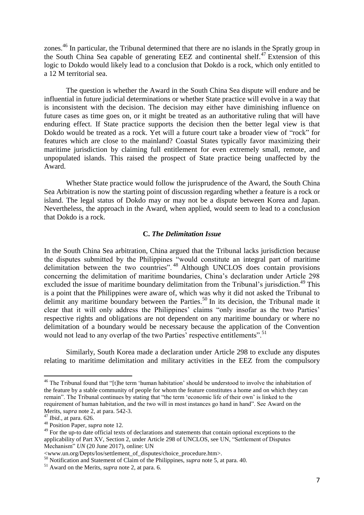zones.<sup>46</sup> In particular, the Tribunal determined that there are no islands in the Spratly group in the South China Sea capable of generating EEZ and continental shelf.<sup>47</sup> Extension of this logic to Dokdo would likely lead to a conclusion that Dokdo is a rock, which only entitled to a 12 M territorial sea.

The question is whether the Award in the South China Sea dispute will endure and be influential in future judicial determinations or whether State practice will evolve in a way that is inconsistent with the decision. The decision may either have diminishing influence on future cases as time goes on, or it might be treated as an authoritative ruling that will have enduring effect. If State practice supports the decision then the better legal view is that Dokdo would be treated as a rock. Yet will a future court take a broader view of "rock" for features which are close to the mainland? Coastal States typically favor maximizing their maritime jurisdiction by claiming full entitlement for even extremely small, remote, and unpopulated islands. This raised the prospect of State practice being unaffected by the Award.

Whether State practice would follow the jurisprudence of the Award, the South China Sea Arbitration is now the starting point of discussion regarding whether a feature is a rock or island. The legal status of Dokdo may or may not be a dispute between Korea and Japan. Nevertheless, the approach in the Award, when applied, would seem to lead to a conclusion that Dokdo is a rock.

#### **C.** *The Delimitation Issue*

In the South China Sea arbitration, China argued that the Tribunal lacks jurisdiction because the disputes submitted by the Philippines "would constitute an integral part of maritime delimitation between the two countries".<sup>48</sup> Although UNCLOS does contain provisions concerning the delimitation of maritime boundaries, China's declaration under Article 298 excluded the issue of maritime boundary delimitation from the Tribunal's jurisdiction.<sup>49</sup> This is a point that the Philippines were aware of, which was why it did not asked the Tribunal to delimit any maritime boundary between the Parties.<sup>50</sup> In its decision, the Tribunal made it clear that it will only address the Philippines' claims "only insofar as the two Parties' respective rights and obligations are not dependent on any maritime boundary or where no delimitation of a boundary would be necessary because the application of the Convention would not lead to any overlap of the two Parties' respective entitlements".<sup>51</sup>

Similarly, South Korea made a declaration under Article 298 to exclude any disputes relating to maritime delimitation and military activities in the EEZ from the compulsory

<sup>&</sup>lt;sup>46</sup> The Tribunal found that "[t]he term 'human habitation' should be understood to involve the inhabitation of the feature by a stable community of people for whom the feature constitutes a home and on which they can remain". The Tribunal continues by stating that "the term 'economic life of their own' is linked to the requirement of human habitation, and the two will in most instances go hand in hand". See Award on the Merits, *supra* note [2,](#page-2-1) at para. 542-3.

<sup>47</sup> *Ibid.,* at para. 626.

<sup>48</sup> Position Paper, *supra* note [12.](#page-4-0)

<sup>&</sup>lt;sup>49</sup> For the up-to date official texts of declarations and statements that contain optional exceptions to the applicability of Part XV, Section 2, under Article 298 of UNCLOS, see UN, "Settlement of Disputes Mechanism" *UN* (20 June 2017), online: UN

<sup>&</sup>lt;www.un.org/Depts/los/settlement\_of\_disputes/choice\_procedure.htm>.

<sup>50</sup> Notification and Statement of Claim of the Philippines, *supra* not[e 5,](#page-3-0) at para. 40.

<sup>51</sup> Award on the Merits, *supra* note [2,](#page-2-1) at para. 6.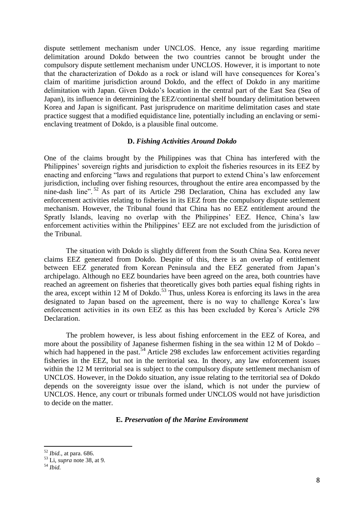dispute settlement mechanism under UNCLOS. Hence, any issue regarding maritime delimitation around Dokdo between the two countries cannot be brought under the compulsory dispute settlement mechanism under UNCLOS. However, it is important to note that the characterization of Dokdo as a rock or island will have consequences for Korea's claim of maritime jurisdiction around Dokdo, and the effect of Dokdo in any maritime delimitation with Japan. Given Dokdo's location in the central part of the East Sea (Sea of Japan), its influence in determining the EEZ/continental shelf boundary delimitation between Korea and Japan is significant. Past jurisprudence on maritime delimitation cases and state practice suggest that a modified equidistance line, potentially including an enclaving or semienclaving treatment of Dokdo, is a plausible final outcome.

#### **D.** *Fishing Activities Around Dokdo*

One of the claims brought by the Philippines was that China has interfered with the Philippines' sovereign rights and jurisdiction to exploit the fisheries resources in its EEZ by enacting and enforcing "laws and regulations that purport to extend China's law enforcement jurisdiction, including over fishing resources, throughout the entire area encompassed by the nine-dash line". <sup>52</sup> As part of its Article 298 Declaration, China has excluded any law enforcement activities relating to fisheries in its EEZ from the compulsory dispute settlement mechanism. However, the Tribunal found that China has no EEZ entitlement around the Spratly Islands, leaving no overlap with the Philippines' EEZ. Hence, China's law enforcement activities within the Philippines' EEZ are not excluded from the jurisdiction of the Tribunal.

The situation with Dokdo is slightly different from the South China Sea. Korea never claims EEZ generated from Dokdo. Despite of this, there is an overlap of entitlement between EEZ generated from Korean Peninsula and the EEZ generated from Japan's archipelago. Although no EEZ boundaries have been agreed on the area, both countries have reached an agreement on fisheries that theoretically gives both parties equal fishing rights in the area, except within 12 M of Dokdo.<sup>53</sup> Thus, unless Korea is enforcing its laws in the area designated to Japan based on the agreement, there is no way to challenge Korea's law enforcement activities in its own EEZ as this has been excluded by Korea's Article 298 Declaration.

The problem however, is less about fishing enforcement in the EEZ of Korea, and more about the possibility of Japanese fishermen fishing in the sea within 12 M of Dokdo – which had happened in the past.<sup>54</sup> Article 298 excludes law enforcement activities regarding fisheries in the EEZ, but not in the territorial sea. In theory, any law enforcement issues within the 12 M territorial sea is subject to the compulsory dispute settlement mechanism of UNCLOS. However, in the Dokdo situation, any issue relating to the territorial sea of Dokdo depends on the sovereignty issue over the island, which is not under the purview of UNCLOS. Hence, any court or tribunals formed under UNCLOS would not have jurisdiction to decide on the matter.

#### **E.** *Preservation of the Marine Environment*

 $\overline{a}$ 

<sup>52</sup> *Ibid.*, at para. 686.

<sup>53</sup> Li, *supra* note [38,](#page-6-1) at 9.

<sup>54</sup> *Ibid.*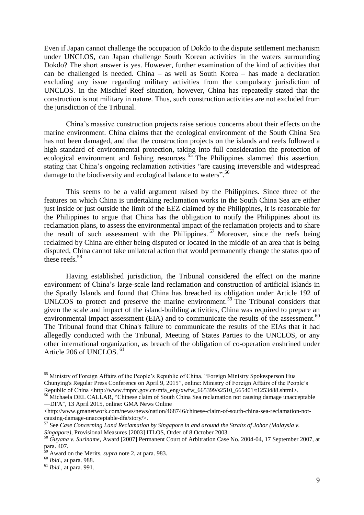Even if Japan cannot challenge the occupation of Dokdo to the dispute settlement mechanism under UNCLOS, can Japan challenge South Korean activities in the waters surrounding Dokdo? The short answer is yes. However, further examination of the kind of activities that can be challenged is needed. China – as well as South Korea – has made a declaration excluding any issue regarding military activities from the compulsory jurisdiction of UNCLOS. In the Mischief Reef situation, however, China has repeatedly stated that the construction is not military in nature. Thus, such construction activities are not excluded from the jurisdiction of the Tribunal.

China's massive construction projects raise serious concerns about their effects on the marine environment. China claims that the ecological environment of the South China Sea has not been damaged, and that the construction projects on the islands and reefs followed a high standard of environmental protection, taking into full consideration the protection of ecological environment and fishing resources.<sup>55</sup> The Philippines slammed this assertion, stating that China's ongoing reclamation activities "are causing irreversible and widespread damage to the biodiversity and ecological balance to waters".<sup>56</sup>

This seems to be a valid argument raised by the Philippines. Since three of the features on which China is undertaking reclamation works in the South China Sea are either just inside or just outside the limit of the EEZ claimed by the Philippines, it is reasonable for the Philippines to argue that China has the obligation to notify the Philippines about its reclamation plans, to assess the environmental impact of the reclamation projects and to share the result of such assessment with the Philippines. <sup>57</sup> Moreover, since the reefs being reclaimed by China are either being disputed or located in the middle of an area that is being disputed, China cannot take unilateral action that would permanently change the status quo of these reefs.<sup>58</sup>

Having established jurisdiction, the Tribunal considered the effect on the marine environment of China's large-scale land reclamation and construction of artificial islands in the Spratly Islands and found that China has breached its obligation under Article 192 of UNLCOS to protect and preserve the marine environment. <sup>59</sup> The Tribunal considers that given the scale and impact of the island-building activities, China was required to prepare an environmental impact assessment (EIA) and to communicate the results of the assessment.<sup>60</sup> The Tribunal found that China's failure to communicate the results of the EIAs that it had allegedly conducted with the Tribunal, Meeting of States Parties to the UNCLOS, or any other international organization, as breach of the obligation of co-operation enshrined under Article 206 of UNCLOS. <sup>61</sup>

 $\overline{a}$ <sup>55</sup> Ministry of Foreign Affairs of the People's Republic of China, "Foreign Ministry Spokesperson Hua Chunying's Regular Press Conference on April 9, 2015", online: Ministry of Foreign Affairs of the People's Republic of China <http://www.fmprc.gov.cn/mfa\_eng/xwfw\_665399/s2510\_665401/t1253488.shtml>*.*

<sup>&</sup>lt;sup>56</sup> Michaela DEL CALLAR, "Chinese claim of South China Sea reclamation not causing damage unacceptable —DFA", 13 April 2015, online: GMA News Online

<sup>&</sup>lt;http://www.gmanetwork.com/news/news/nation/468746/chinese-claim-of-south-china-sea-reclamation-notcausing-damage-unacceptable-dfa/story/>.

<sup>57</sup> See *Case Concerning Land Reclamation by Singapore in and around the Straits of Johor (Malaysia v. Singapore)*, Provisional Measures [2003] ITLOS, Order of 8 October 2003.

<sup>58</sup> *Guyana v. Suriname*, Award [2007] Permanent Court of Arbitration Case No. 2004-04, 17 September 2007, at  $para. 407.$ 

<sup>59</sup> Award on the Merits, *supra* note [2,](#page-2-1) at para. 983.

<sup>60</sup> *Ibid*., at para. 988.

<sup>61</sup> *Ibid.*, at para. 991.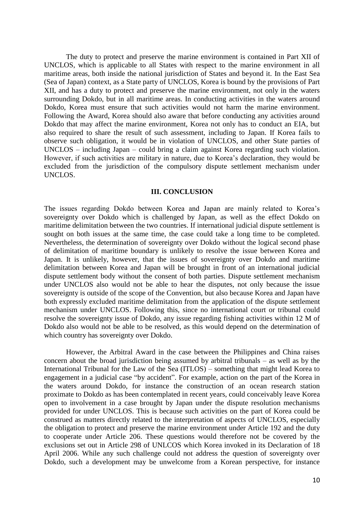The duty to protect and preserve the marine environment is contained in Part XII of UNCLOS, which is applicable to all States with respect to the marine environment in all maritime areas, both inside the national jurisdiction of States and beyond it. In the East Sea (Sea of Japan) context, as a State party of UNCLOS, Korea is bound by the provisions of Part XII, and has a duty to protect and preserve the marine environment, not only in the waters surrounding Dokdo, but in all maritime areas. In conducting activities in the waters around Dokdo, Korea must ensure that such activities would not harm the marine environment. Following the Award, Korea should also aware that before conducting any activities around Dokdo that may affect the marine environment, Korea not only has to conduct an EIA, but also required to share the result of such assessment, including to Japan. If Korea fails to observe such obligation, it would be in violation of UNCLOS, and other State parties of UNCLOS – including Japan – could bring a claim against Korea regarding such violation. However, if such activities are military in nature, due to Korea's declaration, they would be excluded from the jurisdiction of the compulsory dispute settlement mechanism under UNCLOS.

#### **III. CONCLUSION**

The issues regarding Dokdo between Korea and Japan are mainly related to Korea's sovereignty over Dokdo which is challenged by Japan, as well as the effect Dokdo on maritime delimitation between the two countries. If international judicial dispute settlement is sought on both issues at the same time, the case could take a long time to be completed. Nevertheless, the determination of sovereignty over Dokdo without the logical second phase of delimitation of maritime boundary is unlikely to resolve the issue between Korea and Japan. It is unlikely, however, that the issues of sovereignty over Dokdo and maritime delimitation between Korea and Japan will be brought in front of an international judicial dispute settlement body without the consent of both parties. Dispute settlement mechanism under UNCLOS also would not be able to hear the disputes, not only because the issue sovereignty is outside of the scope of the Convention, but also because Korea and Japan have both expressly excluded maritime delimitation from the application of the dispute settlement mechanism under UNCLOS. Following this, since no international court or tribunal could resolve the sovereignty issue of Dokdo, any issue regarding fishing activities within 12 M of Dokdo also would not be able to be resolved, as this would depend on the determination of which country has sovereignty over Dokdo.

However, the Arbitral Award in the case between the Philippines and China raises concern about the broad jurisdiction being assumed by arbitral tribunals – as well as by the International Tribunal for the Law of the Sea (ITLOS) – something that might lead Korea to engagement in a judicial case "by accident". For example, action on the part of the Korea in the waters around Dokdo, for instance the construction of an ocean research station proximate to Dokdo as has been contemplated in recent years, could conceivably leave Korea open to involvement in a case brought by Japan under the dispute resolution mechanisms provided for under UNCLOS. This is because such activities on the part of Korea could be construed as matters directly related to the interpretation of aspects of UNCLOS, especially the obligation to protect and preserve the marine environment under Article 192 and the duty to cooperate under Article 206. These questions would therefore not be covered by the exclusions set out in Article 298 of UNLCOS which Korea invoked in its Declaration of 18 April 2006. While any such challenge could not address the question of sovereignty over Dokdo, such a development may be unwelcome from a Korean perspective, for instance